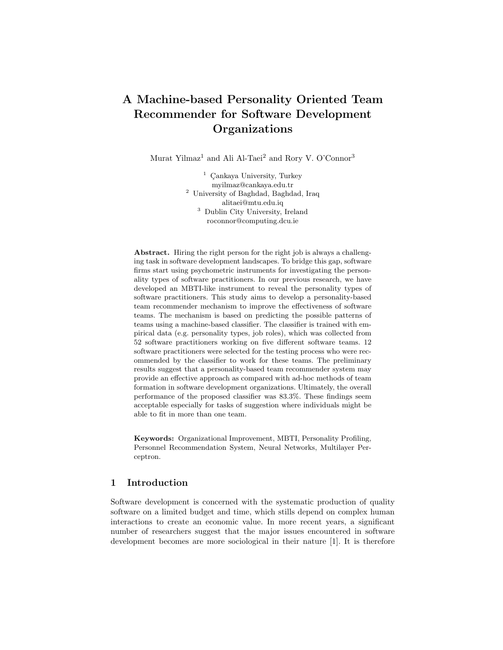# A Machine-based Personality Oriented Team Recommender for Software Development Organizations

Murat Yilmaz<sup>1</sup> and Ali Al-Taei<sup>2</sup> and Rory V. O'Connor<sup>3</sup>

 $1$  Cankaya University, Turkey myilmaz@cankaya.edu.tr <sup>2</sup> University of Baghdad, Baghdad, Iraq alitaei@mtu.edu.iq <sup>3</sup> Dublin City University, Ireland roconnor@computing.dcu.ie

Abstract. Hiring the right person for the right job is always a challenging task in software development landscapes. To bridge this gap, software firms start using psychometric instruments for investigating the personality types of software practitioners. In our previous research, we have developed an MBTI-like instrument to reveal the personality types of software practitioners. This study aims to develop a personality-based team recommender mechanism to improve the effectiveness of software teams. The mechanism is based on predicting the possible patterns of teams using a machine-based classifier. The classifier is trained with empirical data (e.g. personality types, job roles), which was collected from 52 software practitioners working on five different software teams. 12 software practitioners were selected for the testing process who were recommended by the classifier to work for these teams. The preliminary results suggest that a personality-based team recommender system may provide an effective approach as compared with ad-hoc methods of team formation in software development organizations. Ultimately, the overall performance of the proposed classifier was 83.3%. These findings seem acceptable especially for tasks of suggestion where individuals might be able to fit in more than one team.

Keywords: Organizational Improvement, MBTI, Personality Profiling, Personnel Recommendation System, Neural Networks, Multilayer Perceptron.

# 1 Introduction

Software development is concerned with the systematic production of quality software on a limited budget and time, which stills depend on complex human interactions to create an economic value. In more recent years, a significant number of researchers suggest that the major issues encountered in software development becomes are more sociological in their nature [1]. It is therefore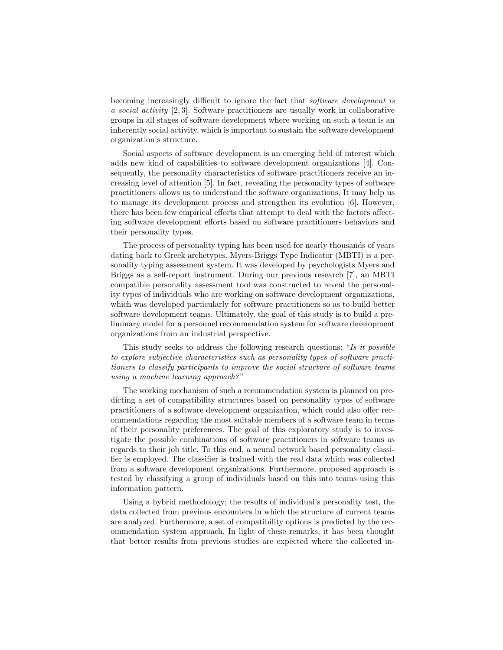becoming increasingly difficult to ignore the fact that software development is a social activity [2, 3]. Software practitioners are usually work in collaborative groups in all stages of software development where working on such a team is an inherently social activity, which is important to sustain the software development organization's structure.

Social aspects of software development is an emerging field of interest which adds new kind of capabilities to software development organizations [4]. Consequently, the personality characteristics of software practitioners receive an increasing level of attention [5]. In fact, revealing the personality types of software practitioners allows us to understand the software organizations. It may help us to manage its development process and strengthen its evolution [6]. However, there has been few empirical efforts that attempt to deal with the factors affecting software development efforts based on software practitioners behaviors and their personality types.

The process of personality typing has been used for nearly thousands of years dating back to Greek archetypes. Myers-Briggs Type Indicator (MBTI) is a personality typing assessment system. It was developed by psychologists Myers and Briggs as a self-report instrument. During our previous research [7], an MBTI compatible personality assessment tool was constructed to reveal the personality types of individuals who are working on software development organizations, which was developed particularly for software practitioners so as to build better software development teams. Ultimately, the goal of this study is to build a preliminary model for a personnel recommendation system for software development organizations from an industrial perspective.

This study seeks to address the following research questions: "Is it possible to explore subjective characteristics such as personality types of software practitioners to classify participants to improve the social structure of software teams using a machine learning approach?"

The working mechanism of such a recommendation system is planned on predicting a set of compatibility structures based on personality types of software practitioners of a software development organization, which could also offer recommendations regarding the most suitable members of a software team in terms of their personality preferences. The goal of this exploratory study is to investigate the possible combinations of software practitioners in software teams as regards to their job title. To this end, a neural network based personality classifier is employed. The classifier is trained with the real data which was collected from a software development organizations. Furthermore, proposed approach is tested by classifying a group of individuals based on this into teams using this information pattern.

Using a hybrid methodology; the results of individual's personality test, the data collected from previous encounters in which the structure of current teams are analyzed. Furthermore, a set of compatibility options is predicted by the recommendation system approach. In light of these remarks, it has been thought that better results from previous studies are expected where the collected in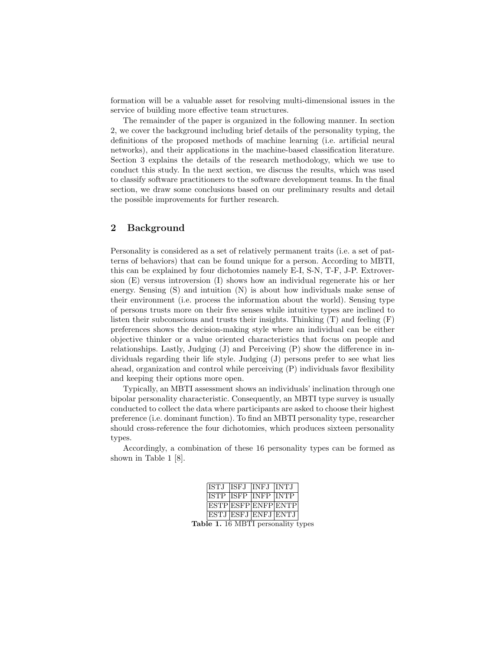formation will be a valuable asset for resolving multi-dimensional issues in the service of building more effective team structures.

The remainder of the paper is organized in the following manner. In section 2, we cover the background including brief details of the personality typing, the definitions of the proposed methods of machine learning (i.e. artificial neural networks), and their applications in the machine-based classification literature. Section 3 explains the details of the research methodology, which we use to conduct this study. In the next section, we discuss the results, which was used to classify software practitioners to the software development teams. In the final section, we draw some conclusions based on our preliminary results and detail the possible improvements for further research.

# 2 Background

Personality is considered as a set of relatively permanent traits (i.e. a set of patterns of behaviors) that can be found unique for a person. According to MBTI, this can be explained by four dichotomies namely E-I, S-N, T-F, J-P. Extroversion (E) versus introversion (I) shows how an individual regenerate his or her energy. Sensing (S) and intuition (N) is about how individuals make sense of their environment (i.e. process the information about the world). Sensing type of persons trusts more on their five senses while intuitive types are inclined to listen their subconscious and trusts their insights. Thinking (T) and feeling (F) preferences shows the decision-making style where an individual can be either objective thinker or a value oriented characteristics that focus on people and relationships. Lastly, Judging (J) and Perceiving (P) show the difference in individuals regarding their life style. Judging (J) persons prefer to see what lies ahead, organization and control while perceiving (P) individuals favor flexibility and keeping their options more open.

Typically, an MBTI assessment shows an individuals' inclination through one bipolar personality characteristic. Consequently, an MBTI type survey is usually conducted to collect the data where participants are asked to choose their highest preference (i.e. dominant function). To find an MBTI personality type, researcher should cross-reference the four dichotomies, which produces sixteen personality types.

Accordingly, a combination of these 16 personality types can be formed as shown in Table 1 [8].

| ISTJ | $ {\rm ISFJ} $ | IINFJ               | INT.I |
|------|----------------|---------------------|-------|
|      |                | ISTP ISFP INFP      | IINTP |
|      |                | ESTP ESFP ENFP ENTP |       |
|      |                | ESTJ ESFJ ENFJ ENTJ |       |

Table 1. 16 MBTI personality types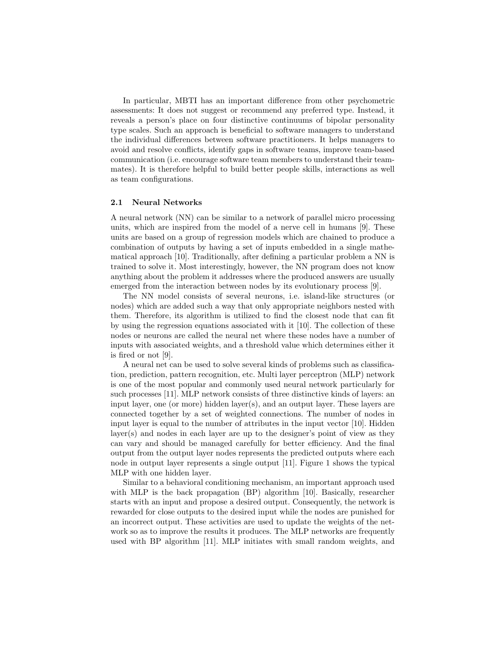In particular, MBTI has an important difference from other psychometric assessments: It does not suggest or recommend any preferred type. Instead, it reveals a person's place on four distinctive continuums of bipolar personality type scales. Such an approach is beneficial to software managers to understand the individual differences between software practitioners. It helps managers to avoid and resolve conflicts, identify gaps in software teams, improve team-based communication (i.e. encourage software team members to understand their teammates). It is therefore helpful to build better people skills, interactions as well as team configurations.

#### 2.1 Neural Networks

A neural network (NN) can be similar to a network of parallel micro processing units, which are inspired from the model of a nerve cell in humans [9]. These units are based on a group of regression models which are chained to produce a combination of outputs by having a set of inputs embedded in a single mathematical approach [10]. Traditionally, after defining a particular problem a NN is trained to solve it. Most interestingly, however, the NN program does not know anything about the problem it addresses where the produced answers are usually emerged from the interaction between nodes by its evolutionary process [9].

The NN model consists of several neurons, i.e. island-like structures (or nodes) which are added such a way that only appropriate neighbors nested with them. Therefore, its algorithm is utilized to find the closest node that can fit by using the regression equations associated with it [10]. The collection of these nodes or neurons are called the neural net where these nodes have a number of inputs with associated weights, and a threshold value which determines either it is fired or not [9].

A neural net can be used to solve several kinds of problems such as classification, prediction, pattern recognition, etc. Multi layer perceptron (MLP) network is one of the most popular and commonly used neural network particularly for such processes [11]. MLP network consists of three distinctive kinds of layers: an input layer, one (or more) hidden layer(s), and an output layer. These layers are connected together by a set of weighted connections. The number of nodes in input layer is equal to the number of attributes in the input vector [10]. Hidden layer(s) and nodes in each layer are up to the designer's point of view as they can vary and should be managed carefully for better efficiency. And the final output from the output layer nodes represents the predicted outputs where each node in output layer represents a single output [11]. Figure 1 shows the typical MLP with one hidden layer.

Similar to a behavioral conditioning mechanism, an important approach used with MLP is the back propagation (BP) algorithm [10]. Basically, researcher starts with an input and propose a desired output. Consequently, the network is rewarded for close outputs to the desired input while the nodes are punished for an incorrect output. These activities are used to update the weights of the network so as to improve the results it produces. The MLP networks are frequently used with BP algorithm [11]. MLP initiates with small random weights, and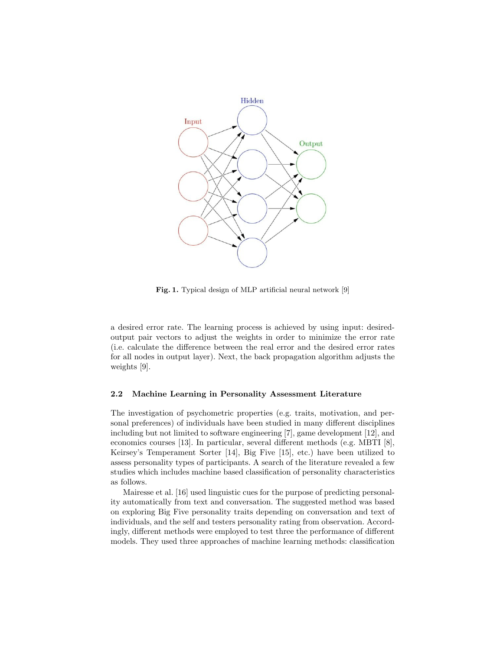

Fig. 1. Typical design of MLP artificial neural network [9]

a desired error rate. The learning process is achieved by using input: desiredoutput pair vectors to adjust the weights in order to minimize the error rate (i.e. calculate the difference between the real error and the desired error rates for all nodes in output layer). Next, the back propagation algorithm adjusts the weights [9].

#### 2.2 Machine Learning in Personality Assessment Literature

The investigation of psychometric properties (e.g. traits, motivation, and personal preferences) of individuals have been studied in many different disciplines including but not limited to software engineering [7], game development [12], and economics courses [13]. In particular, several different methods (e.g. MBTI [8], Keirsey's Temperament Sorter [14], Big Five [15], etc.) have been utilized to assess personality types of participants. A search of the literature revealed a few studies which includes machine based classification of personality characteristics as follows.

Mairesse et al. [16] used linguistic cues for the purpose of predicting personality automatically from text and conversation. The suggested method was based on exploring Big Five personality traits depending on conversation and text of individuals, and the self and testers personality rating from observation. Accordingly, different methods were employed to test three the performance of different models. They used three approaches of machine learning methods: classification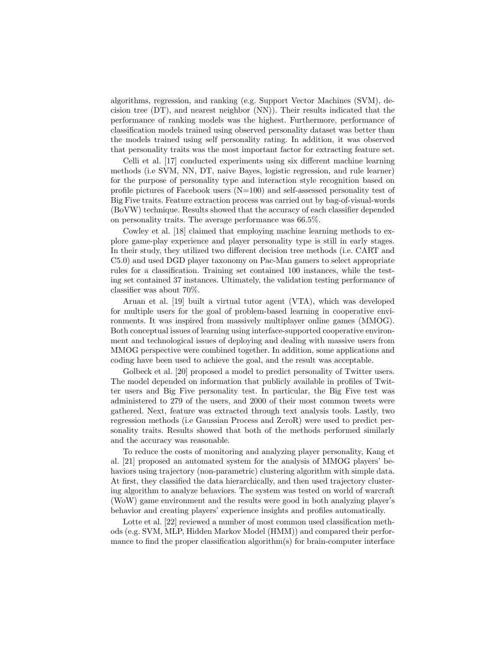algorithms, regression, and ranking (e.g. Support Vector Machines (SVM), decision tree (DT), and nearest neighbor (NN)). Their results indicated that the performance of ranking models was the highest. Furthermore, performance of classification models trained using observed personality dataset was better than the models trained using self personality rating. In addition, it was observed that personality traits was the most important factor for extracting feature set.

Celli et al. [17] conducted experiments using six different machine learning methods (i.e SVM, NN, DT, naive Bayes, logistic regression, and rule learner) for the purpose of personality type and interaction style recognition based on profile pictures of Facebook users (N=100) and self-assessed personality test of Big Five traits. Feature extraction process was carried out by bag-of-visual-words (BoVW) technique. Results showed that the accuracy of each classifier depended on personality traits. The average performance was 66.5%.

Cowley et al. [18] claimed that employing machine learning methods to explore game-play experience and player personality type is still in early stages. In their study, they utilized two different decision tree methods (i.e. CART and C5.0) and used DGD player taxonomy on Pac-Man gamers to select appropriate rules for a classification. Training set contained 100 instances, while the testing set contained 37 instances. Ultimately, the validation testing performance of classifier was about 70%.

Aruan et al. [19] built a virtual tutor agent (VTA), which was developed for multiple users for the goal of problem-based learning in cooperative environments. It was inspired from massively multiplayer online games (MMOG). Both conceptual issues of learning using interface-supported cooperative environment and technological issues of deploying and dealing with massive users from MMOG perspective were combined together. In addition, some applications and coding have been used to achieve the goal, and the result was acceptable.

Golbeck et al. [20] proposed a model to predict personality of Twitter users. The model depended on information that publicly available in profiles of Twitter users and Big Five personality test. In particular, the Big Five test was administered to 279 of the users, and 2000 of their most common tweets were gathered. Next, feature was extracted through text analysis tools. Lastly, two regression methods (i.e Gaussian Process and ZeroR) were used to predict personality traits. Results showed that both of the methods performed similarly and the accuracy was reasonable.

To reduce the costs of monitoring and analyzing player personality, Kang et al. [21] proposed an automated system for the analysis of MMOG players' behaviors using trajectory (non-parametric) clustering algorithm with simple data. At first, they classified the data hierarchically, and then used trajectory clustering algorithm to analyze behaviors. The system was tested on world of warcraft (WoW) game environment and the results were good in both analyzing player's behavior and creating players' experience insights and profiles automatically.

Lotte et al. [22] reviewed a number of most common used classification methods (e.g. SVM, MLP, Hidden Markov Model (HMM)) and compared their performance to find the proper classification algorithm(s) for brain-computer interface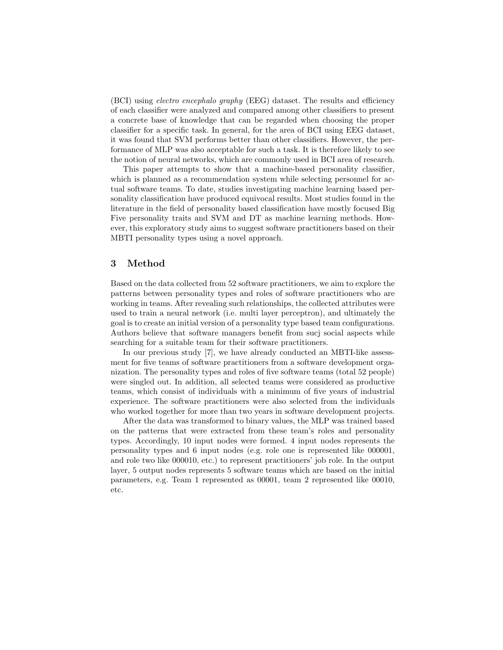(BCI) using *electro encephalo graphy* (EEG) dataset. The results and efficiency of each classifier were analyzed and compared among other classifiers to present a concrete base of knowledge that can be regarded when choosing the proper classifier for a specific task. In general, for the area of BCI using EEG dataset, it was found that SVM performs better than other classifiers. However, the performance of MLP was also acceptable for such a task. It is therefore likely to see the notion of neural networks, which are commonly used in BCI area of research.

This paper attempts to show that a machine-based personality classifier, which is planned as a recommendation system while selecting personnel for actual software teams. To date, studies investigating machine learning based personality classification have produced equivocal results. Most studies found in the literature in the field of personality based classification have mostly focused Big Five personality traits and SVM and DT as machine learning methods. However, this exploratory study aims to suggest software practitioners based on their MBTI personality types using a novel approach.

# 3 Method

Based on the data collected from 52 software practitioners, we aim to explore the patterns between personality types and roles of software practitioners who are working in teams. After revealing such relationships, the collected attributes were used to train a neural network (i.e. multi layer perceptron), and ultimately the goal is to create an initial version of a personality type based team configurations. Authors believe that software managers benefit from sucj social aspects while searching for a suitable team for their software practitioners.

In our previous study [7], we have already conducted an MBTI-like assessment for five teams of software practitioners from a software development organization. The personality types and roles of five software teams (total 52 people) were singled out. In addition, all selected teams were considered as productive teams, which consist of individuals with a minimum of five years of industrial experience. The software practitioners were also selected from the individuals who worked together for more than two years in software development projects.

After the data was transformed to binary values, the MLP was trained based on the patterns that were extracted from these team's roles and personality types. Accordingly, 10 input nodes were formed. 4 input nodes represents the personality types and 6 input nodes (e.g. role one is represented like 000001, and role two like 000010, etc.) to represent practitioners' job role. In the output layer, 5 output nodes represents 5 software teams which are based on the initial parameters, e.g. Team 1 represented as 00001, team 2 represented like 00010, etc.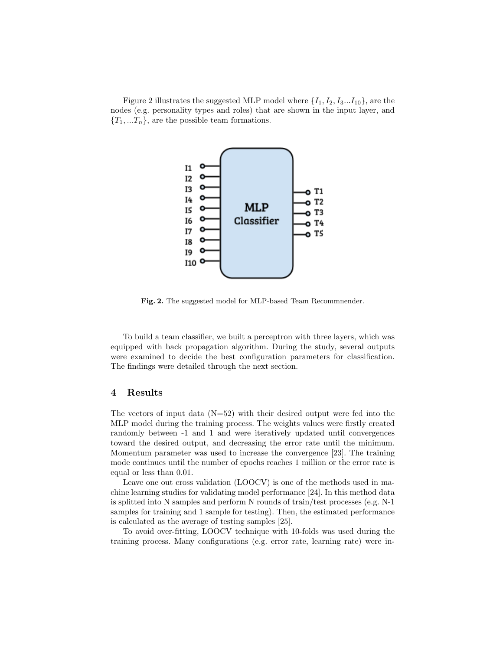Figure 2 illustrates the suggested MLP model where  $\{I_1, I_2, I_3...I_{10}\}$ , are the nodes (e.g. personality types and roles) that are shown in the input layer, and  ${T_1, ... T_n}$ , are the possible team formations.



Fig. 2. The suggested model for MLP-based Team Recommnender.

To build a team classifier, we built a perceptron with three layers, which was equipped with back propagation algorithm. During the study, several outputs were examined to decide the best configuration parameters for classification. The findings were detailed through the next section.

# 4 Results

The vectors of input data  $(N=52)$  with their desired output were fed into the MLP model during the training process. The weights values were firstly created randomly between -1 and 1 and were iteratively updated until convergences toward the desired output, and decreasing the error rate until the minimum. Momentum parameter was used to increase the convergence [23]. The training mode continues until the number of epochs reaches 1 million or the error rate is equal or less than 0.01.

Leave one out cross validation (LOOCV) is one of the methods used in machine learning studies for validating model performance [24]. In this method data is splitted into N samples and perform N rounds of train/test processes (e.g. N-1 samples for training and 1 sample for testing). Then, the estimated performance is calculated as the average of testing samples [25].

To avoid over-fitting, LOOCV technique with 10-folds was used during the training process. Many configurations (e.g. error rate, learning rate) were in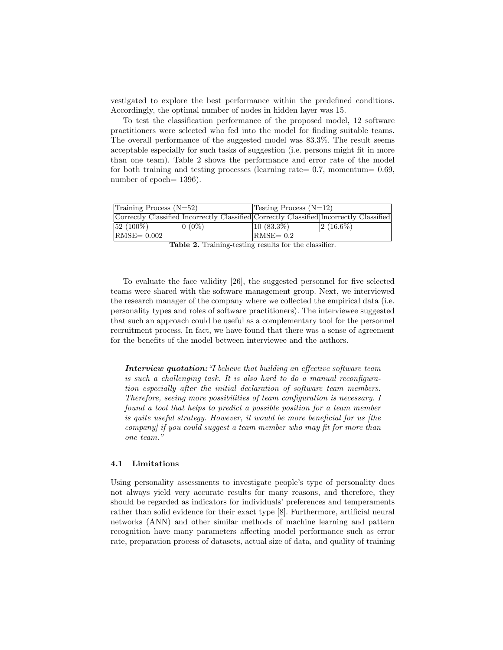vestigated to explore the best performance within the predefined conditions. Accordingly, the optimal number of nodes in hidden layer was 15.

To test the classification performance of the proposed model, 12 software practitioners were selected who fed into the model for finding suitable teams. The overall performance of the suggested model was 83.3%. The result seems acceptable especially for such tasks of suggestion (i.e. persons might fit in more than one team). Table 2 shows the performance and error rate of the model for both training and testing processes (learning rate=  $0.7$ , momentum=  $0.69$ , number of epoch= 1396).

| Training Process $(N=52)$ |          | $\text{Testing Process}$ (N=12) |                                                                                         |  |
|---------------------------|----------|---------------------------------|-----------------------------------------------------------------------------------------|--|
|                           |          |                                 | Correctly Classified Incorrectly Classified Correctly Classified Incorrectly Classified |  |
| $ 52 \ (100\%)$           | $0(0\%)$ | $ 10 \ (83.3\%)$                | $ 2(16.6\%)$                                                                            |  |
| $\mathrm{RMSE}=0.002$     |          | $RMSE = 0.2$                    |                                                                                         |  |

Table 2. Training-testing results for the classifier.

To evaluate the face validity [26], the suggested personnel for five selected teams were shared with the software management group. Next, we interviewed the research manager of the company where we collected the empirical data (i.e. personality types and roles of software practitioners). The interviewee suggested that such an approach could be useful as a complementary tool for the personnel recruitment process. In fact, we have found that there was a sense of agreement for the benefits of the model between interviewee and the authors.

Interview quotation: "I believe that building an effective software team is such a challenging task. It is also hard to do a manual reconfiguration especially after the initial declaration of software team members. Therefore, seeing more possibilities of team configuration is necessary. I found a tool that helps to predict a possible position for a team member is quite useful strategy. However, it would be more beneficial for us [the company] if you could suggest a team member who may fit for more than one team."

#### 4.1 Limitations

Using personality assessments to investigate people's type of personality does not always yield very accurate results for many reasons, and therefore, they should be regarded as indicators for individuals' preferences and temperaments rather than solid evidence for their exact type [8]. Furthermore, artificial neural networks (ANN) and other similar methods of machine learning and pattern recognition have many parameters affecting model performance such as error rate, preparation process of datasets, actual size of data, and quality of training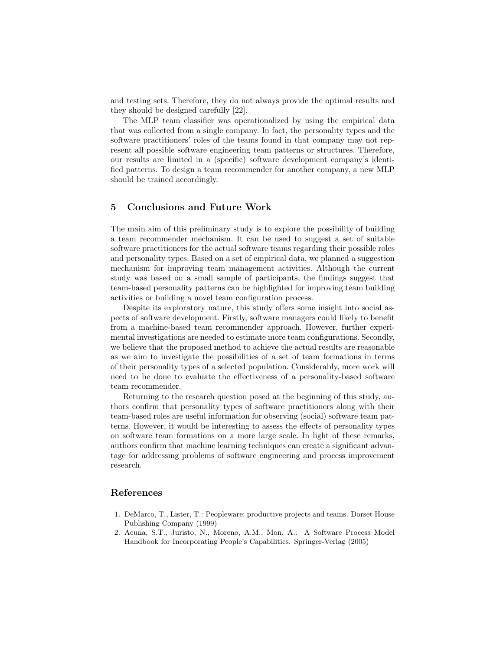and testing sets. Therefore, they do not always provide the optimal results and they should be designed carefully [22].

The MLP team classifier was operationalized by using the empirical data that was collected from a single company. In fact, the personality types and the software practitioners' roles of the teams found in that company may not represent all possible software engineering team patterns or structures. Therefore, our results are limited in a (specific) software development company's identified patterns. To design a team recommender for another company, a new MLP should be trained accordingly.

### 5 Conclusions and Future Work

The main aim of this preliminary study is to explore the possibility of building a team recommender mechanism. It can be used to suggest a set of suitable software practitioners for the actual software teams regarding their possible roles and personality types. Based on a set of empirical data, we planned a suggestion mechanism for improving team management activities. Although the current study was based on a small sample of participants, the findings suggest that team-based personality patterns can be highlighted for improving team building activities or building a novel team configuration process.

Despite its exploratory nature, this study offers some insight into social aspects of software development. Firstly, software managers could likely to benefit from a machine-based team recommender approach. However, further experimental investigations are needed to estimate more team configurations. Secondly, we believe that the proposed method to achieve the actual results are reasonable as we aim to investigate the possibilities of a set of team formations in terms of their personality types of a selected population. Considerably, more work will need to be done to evaluate the effectiveness of a personality-based software team recommender.

Returning to the research question posed at the beginning of this study, authors confirm that personality types of software practitioners along with their team-based roles are useful information for observing (social) software team patterns. However, it would be interesting to assess the effects of personality types on software team formations on a more large scale. In light of these remarks, authors confirm that machine learning techniques can create a significant advantage for addressing problems of software engineering and process improvement research.

#### References

- 1. DeMarco, T., Lister, T.: Peopleware: productive projects and teams. Dorset House Publishing Company (1999)
- 2. Acuna, S.T., Juristo, N., Moreno, A.M., Mon, A.: A Software Process Model Handbook for Incorporating People's Capabilities. Springer-Verlag (2005)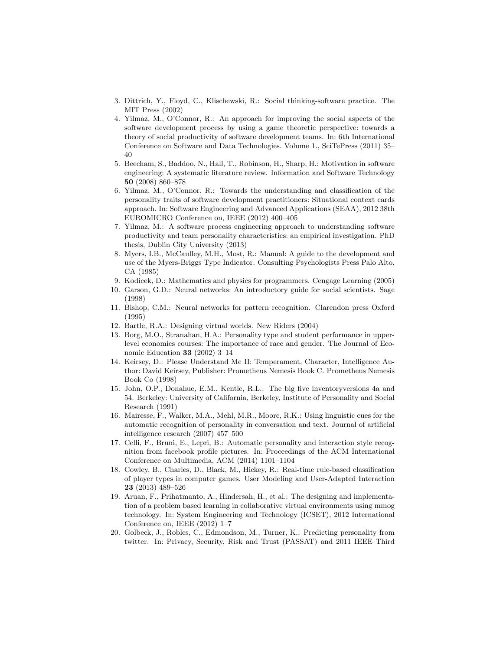- 3. Dittrich, Y., Floyd, C., Klischewski, R.: Social thinking-software practice. The MIT Press (2002)
- 4. Yilmaz, M., O'Connor, R.: An approach for improving the social aspects of the software development process by using a game theoretic perspective: towards a theory of social productivity of software development teams. In: 6th International Conference on Software and Data Technologies. Volume 1., SciTePress (2011) 35– 40
- 5. Beecham, S., Baddoo, N., Hall, T., Robinson, H., Sharp, H.: Motivation in software engineering: A systematic literature review. Information and Software Technology 50 (2008) 860–878
- 6. Yilmaz, M., O'Connor, R.: Towards the understanding and classification of the personality traits of software development practitioners: Situational context cards approach. In: Software Engineering and Advanced Applications (SEAA), 2012 38th EUROMICRO Conference on, IEEE (2012) 400–405
- 7. Yilmaz, M.: A software process engineering approach to understanding software productivity and team personality characteristics: an empirical investigation. PhD thesis, Dublin City University (2013)
- 8. Myers, I.B., McCaulley, M.H., Most, R.: Manual: A guide to the development and use of the Myers-Briggs Type Indicator. Consulting Psychologists Press Palo Alto, CA (1985)
- 9. Kodicek, D.: Mathematics and physics for programmers. Cengage Learning (2005)
- 10. Garson, G.D.: Neural networks: An introductory guide for social scientists. Sage (1998)
- 11. Bishop, C.M.: Neural networks for pattern recognition. Clarendon press Oxford (1995)
- 12. Bartle, R.A.: Designing virtual worlds. New Riders (2004)
- 13. Borg, M.O., Stranahan, H.A.: Personality type and student performance in upperlevel economics courses: The importance of race and gender. The Journal of Economic Education 33 (2002) 3–14
- 14. Keirsey, D.: Please Understand Me II: Temperament, Character, Intelligence Author: David Keirsey, Publisher: Prometheus Nemesis Book C. Prometheus Nemesis Book Co (1998)
- 15. John, O.P., Donahue, E.M., Kentle, R.L.: The big five inventoryversions 4a and 54. Berkeley: University of California, Berkeley, Institute of Personality and Social Research (1991)
- 16. Mairesse, F., Walker, M.A., Mehl, M.R., Moore, R.K.: Using linguistic cues for the automatic recognition of personality in conversation and text. Journal of artificial intelligence research (2007) 457–500
- 17. Celli, F., Bruni, E., Lepri, B.: Automatic personality and interaction style recognition from facebook profile pictures. In: Proceedings of the ACM International Conference on Multimedia, ACM (2014) 1101–1104
- 18. Cowley, B., Charles, D., Black, M., Hickey, R.: Real-time rule-based classification of player types in computer games. User Modeling and User-Adapted Interaction 23 (2013) 489–526
- 19. Aruan, F., Prihatmanto, A., Hindersah, H., et al.: The designing and implementation of a problem based learning in collaborative virtual environments using mmog technology. In: System Engineering and Technology (ICSET), 2012 International Conference on, IEEE (2012) 1–7
- 20. Golbeck, J., Robles, C., Edmondson, M., Turner, K.: Predicting personality from twitter. In: Privacy, Security, Risk and Trust (PASSAT) and 2011 IEEE Third